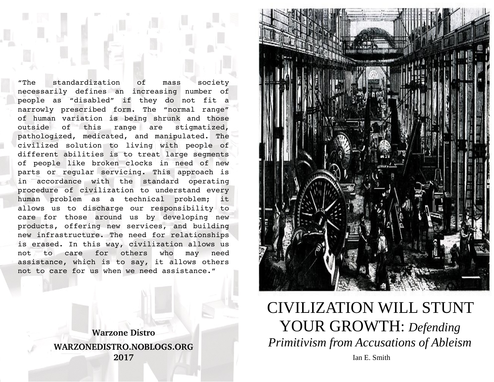"The standardization of mass society necessarily defines an increasing number of people as "disabled" if they do not fit a narrowly prescribed form. The "normal range" of human variation is being shrunk and those outside of this range are stigmatized, pathologized, medicated, and manipulated. The civilized solution to living with people of different abilities is to treat large segments of people like broken clocks in need of new parts or regular servicing. This approach is in accordance with the standard operating procedure of civilization to understand every human problem as a technical problem; it allows us to discharge our responsibility to care for those around us by developing new products, offering new services, and building new infrastructure. The need for relationships is erased. In this way, civilization allows us not to care for others who may need assistance, which is to say, it allows others not to care for us when we need assistance."

> **Warzone Distro WARZONEDISTRO.NOBLOGS.ORG 2017**



# CIVILIZATION WILL STUNT YOUR GROWTH: *Defending Primitivism from Accusations of Ableism*

Ian E. Smith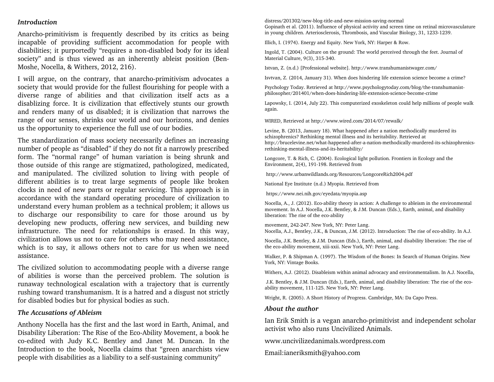## *Introduction*

Anarcho-primitivism is frequently described by its critics as being incapable of providing sufficient accommodation for people with disabilities; it purportedly "requires a non-disabled body for its ideal society" and is thus viewed as an inherently ableist position (Ben-Moshe, Nocella, & Withers, 2012, 216).

I will argue, on the contrary, that anarcho-primitivism advocates a society that would provide for the fullest flourishing for people with a diverse range of abilities and that civilization itself acts as a disablizing force. It is civilization that effectively stunts our growth and renders many of us disabled; it is civilization that narrows the range of our senses, shrinks our world and our horizons, and denies us the opportunity to experience the full use of our bodies.

The standardization of mass society necessarily defines an increasing number of people as "disabled" if they do not fit a narrowly prescribed form. The "normal range" of human variation is being shrunk and those outside of this range are stigmatized, pathologized, medicated, and manipulated. The civilized solution to living with people of different abilities is to treat large segments of people like broken clocks in need of new parts or regular servicing. This approach is in accordance with the standard operating procedure of civilization to understand every human problem as a technical problem; it allows us to discharge our responsibility to care for those around us by developing new products, offering new services, and building new infrastructure. The need for relationships is erased. In this way, civilization allows us not to care for others who may need assistance, which is to say, it allows others not to care for us when we need assistance.

The civilized solution to accommodating people with a diverse range of abilities is worse than the perceived problem. The solution is runaway technological escalation with a trajectory that is currently rushing toward transhumanism. It is a hatred and a disgust not strictly for disabled bodies but for physical bodies as such.

## *The Accusations of Ableism*

Anthony Nocella has the first and the last word in Earth, Animal, and Disability Liberation: The Rise of the Eco-Ability Movement, a book he co-edited with Judy K.C. Bentley and Janet M. Duncan. In the Introduction to the book, Nocella claims that "green anarchists view people with disabilities as a liability to a self-sustaining community"

distress/201302/new-blog-title-and-new-mission-saving-normal

Gopinath et al. (2011). Influence of physical activity and screen time on retinal microvasculature in young children. Arteriosclerosis, Thrombosis, and Vascular Biology, 31, 1233-1239.

Illich, I. (1974). Energy and Equity. New York, NY: Harper & Row.

Ingold, T. (2004). Culture on the ground: The world perceived through the feet. Journal of Material Culture, 9(3), 315-340.

Istvan, Z. (n.d.) [Professional website]. http://www.transhumanistwager.com/

Isvtvan, Z. (2014, January 31). When does hindering life extension science become a crime?

Psychology Today. Retrieved at http://www.psychologytoday.com/blog/the-transhumanistphilosopher/201401/when-does-hindering-life-extension-science-become-crime

Lapowsky, I. (2014, July 22). This computerized exoskeleton could help millions of people walk again.

WIRED, Retrieved at http://www.wired.com/2014/07/rewalk/

Levine, B. (2013, January 18). What happened after a nation methodically murdered its schizophrenics? Rethinking mental illness and its heritability. Retrieved at http://brucelevine.net/what-happened-after-a-nation-methodically-murdered-its-schizophrenicsrethinking-mental-illness-and-its-heritability/

Longcore, T. & Rich, C. (2004). Ecological light pollution. Frontiers in Ecology and the Environment, 2(4), 191-198. Retrieved from

http://www.urbanwildlands.org/Resources/LongcoreRich2004.pdf

National Eye Institute (n.d.) Myopia. Retrieved from

https://www.nei.nih.gov/eyedata/myopia.asp

Nocella, A., J. (2012). Eco-ability theory in action: A challenge to ableism in the environmental movement. In A.J. Nocella, J.K. Bentley, & J.M. Duncan (Eds.), Earth, animal, and disability liberation: The rise of the eco-ability

movement, 242-247. New York, NY: Peter Lang. Nocella, A.J., Bentley, J.K., & Duncan, J.M. (2012). Introduction: The rise of eco-ability. In A.J.

Nocella, J.K. Bentley, & J.M. Duncan (Eds.), Earth, animal, and disability liberation: The rise of the eco-ability movement, xiii-xxii. New York, NY: Peter Lang.

Walker, P. & Shipman A. (1997). The Wisdom of the Bones: In Search of Human Origins. New York, NY: Vintage Books.

Withers, A.J. (2012). Disableism within animal advocacy and environmentalism. In A.J. Nocella,

 J.K. Bentley, & J.M. Duncan (Eds.), Earth, animal, and disability liberation: The rise of the ecoability movement, 111-125. New York, NY: Peter Lang.

Wright, R. (2005). A Short History of Progress. Cambridge, MA: Da Capo Press.

#### *About the author*

Ian Erik Smith is a vegan anarcho-primitivist and independent scholar activist who also runs Uncivilized Animals.

www.uncivilizedanimals.wordpress.com

Email:ianeriksmith@yahoo.com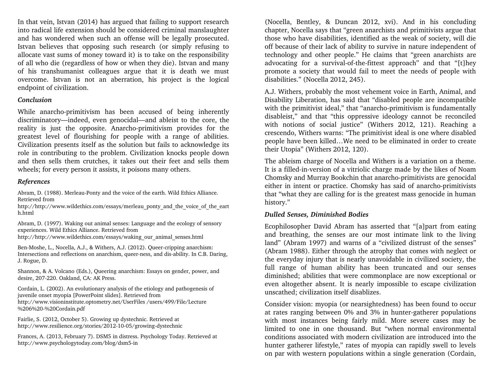In that vein, Istvan (2014) has argued that failing to support research into radical life extension should be considered criminal manslaughter and has wondered when such an offense will be legally prosecuted. Istvan believes that opposing such research (or simply refusing to allocate vast sums of money toward it) is to take on the responsibility of all who die (regardless of how or when they die). Istvan and many of his transhumanist colleagues argue that it is death we must overcome. Istvan is not an aberration, his project is the logical endpoint of civilization.

## *Conclusion*

While anarcho-primitivism has been accused of being inherently discriminatory—indeed, even genocidal—and ableist to the core, the reality is just the opposite. Anarcho-primitivism provides for the greatest level of flourishing for people with a range of abilities. Civilization presents itself as the solution but fails to acknowledge its role in contributing to the problem. Civilization knocks people down and then sells them crutches, it takes out their feet and sells them wheels; for every person it assists, it poisons many others.

## *References*

Abram, D. (1988). Merleau-Ponty and the voice of the earth. Wild Ethics Alliance. Retrieved from

http://http://www.wildethics.com/essays/merleau\_ponty\_and\_the\_voice\_of\_the\_eart h.html

Abram, D. (1997). Waking out animal senses: Language and the ecology of sensory experiences. Wild Ethics Alliance. Retrieved from

http://http://www.wildethics.com/essays/waking\_our\_animal\_senses.html

Ben-Moshe, L., Nocella, A.J., & Withers, A.J. (2012). Queer-cripping anarchism: Intersections and reflections on anarchism, queer-ness, and dis-ability. In C.B. Daring, J. Rogue, D.

Shannon, & A. Volcano (Eds.), Queering anarchism: Essays on gender, power, and desire, 207-220. Oakland, CA: AK Press.

Cordain, L. (2002). An evolutionary analysis of the etiology and pathogenesis of juvenile onset myopia [PowerPoint slides]. Retrieved from http://www.visioninstitute.optometry.net/UserFiles /users/499/File/Lecture %206%20%20Cordain.pdf

Fairlie, S. (2012, October 5). Growing up dystechnic. Retrieved at http://www.resilience.org/stories/2012-10-05/growing-dystechnic

Frances, A. (2013, February 7). DSM5 in distress. Psychology Today. Retrieved at http://www.psychologytoday.com/blog/dsm5-in

(Nocella, Bentley, & Duncan 2012, xvi). And in his concluding chapter, Nocella says that "green anarchists and primitivists argue that those who have disabilities, identified as the weak of society, will die off because of their lack of ability to survive in nature independent of technology and other people." He claims that "green anarchists are advocating for a survival-of-the-fittest approach" and that "[t]hey promote a society that would fail to meet the needs of people with disabilities." (Nocella 2012, 245).

A.J. Withers, probably the most vehement voice in Earth, Animal, and Disability Liberation, has said that "disabled people are incompatible with the primitivist ideal," that "anarcho-primitivism is fundamentally disableist," and that "this oppressive ideology cannot be reconciled with notions of social justice" (Withers 2012, 121). Reaching a crescendo, Withers warns: "The primitivist ideal is one where disabled people have been killed…We need to be eliminated in order to create their Utopia" (Withers 2012, 120).

The ableism charge of Nocella and Withers is a variation on a theme. It is a filled-in-version of a vitriolic charge made by the likes of Noam Chomsky and Murray Bookchin that anarcho-primitivists are genocidal either in intent or practice. Chomsky has said of anarcho-primitivists that "what they are calling for is the greatest mass genocide in human history."

## *Dulled Senses, Diminished Bodies*

Ecophilosopher David Abram has asserted that "[a]part from eating and breathing, the senses are our most intimate link to the living land" (Abram 1997) and warns of a "civilized distrust of the senses" (Abram 1988). Either through the atrophy that comes with neglect or the everyday injury that is nearly unavoidable in civilized society, the full range of human ability has been truncated and our senses diminished; abilities that were commonplace are now exceptional or even altogether absent. It is nearly impossible to escape civilization unscathed; civilization itself disablizes.

Consider vision: myopia (or nearsightedness) has been found to occur at rates ranging between 0% and 3% in hunter-gatherer populations with most instances being fairly mild. More severe cases may be limited to one in one thousand. But "when normal environmental conditions associated with modern civilization are introduced into the hunter gatherer lifestyle," rates of myopia can rapidly swell to levels on par with western populations within a single generation (Cordain,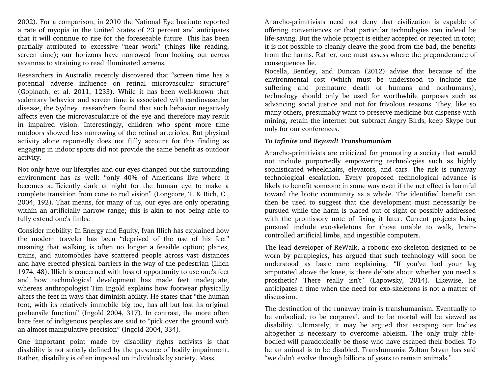2002). For a comparison, in 2010 the National Eye Institute reported a rate of myopia in the United States of 23 percent and anticipates that it will continue to rise for the foreseeable future. This has been partially attributed to excessive "near work" (things like reading, screen time); our horizons have narrowed from looking out across savannas to straining to read illuminated screens.

Researchers in Australia recently discovered that "screen time has a potential adverse influence on retinal microvascular structure" (Gopinath, et al. 2011, 1233). While it has been well-known that sedentary behavior and screen time is associated with cardiovascular disease, the Sydney researchers found that such behavior negatively affects even the microvasculature of the eye and therefore may result in impaired vision. Interestingly, children who spent more time outdoors showed less narrowing of the retinal arterioles. But physical activity alone reportedly does not fully account for this finding as engaging in indoor sports did not provide the same benefit as outdoor activity.

Not only have our lifestyles and our eyes changed but the surrounding environment has as well: "only 40% of Americans live where it becomes sufficiently dark at night for the human eye to make a complete transition from cone to rod vision" (Longcore, T. & Rich, C., 2004, 192). That means, for many of us, our eyes are only operating within an artificially narrow range; this is akin to not being able to fully extend one's limbs.

Consider mobility: In Energy and Equity, Ivan Illich has explained how the modern traveler has been "deprived of the use of his feet" meaning that walking is often no longer a feasible option; planes, trains, and automobiles have scattered people across vast distances and have erected physical barriers in the way of the pedestrian (Illich 1974, 48). Illich is concerned with loss of opportunity to use one's feet and how technological development has made feet inadequate, whereas anthropologist Tim Ingold explains how footwear physically alters the feet in ways that diminish ability. He states that "the human foot, with its relatively immobile big toe, has all but lost its original prehensile function" (Ingold 2004, 317). In contrast, the more often bare feet of indigenous peoples are said to "pick over the ground with an almost manipulative precision" (Ingold 2004, 334).

One important point made by disability rights activists is that disability is not strictly defined by the presence of bodily impairment. Rather, disability is often imposed on individuals by society. Mass

Anarcho-primitivists need not deny that civilization is capable of offering conveniences or that particular technologies can indeed be life-saving. But the whole project is either accepted or rejected in toto; it is not possible to cleanly cleave the good from the bad, the benefits from the harms. Rather, one must assess where the preponderance of consequences lie.

Nocella, Bentley, and Duncan (2012) advise that because of the environmental cost (which must be understood to include the suffering and premature death of humans and nonhumans), technology should only be used for worthwhile purposes such as advancing social justice and not for frivolous reasons. They, like so many others, presumably want to preserve medicine but dispense with mining, retain the internet but subtract Angry Birds, keep Skype but only for our conferences.

## *To Infinite and Beyond! Transhumanism*

Anarcho-primitivists are criticized for promoting a society that would not include purportedly empowering technologies such as highly sophisticated wheelchairs, elevators, and cars. The risk is runaway technological escalation. Every proposed technological advance is likely to benefit someone in some way even if the net effect is harmful toward the biotic community as a whole. The identified benefit can then be used to suggest that the development must necessarily be pursued while the harm is placed out of sight or possibly addressed with the promissory note of fixing it later. Current projects being pursued include exo-skeletons for those unable to walk, braincontrolled artificial limbs, and ingestible computers.

The lead developer of ReWalk, a robotic exo-skeleton designed to be worn by paraplegics, has argued that such technology will soon be understood as basic care explaining: "If you've had your leg amputated above the knee, is there debate about whether you need a prosthetic? There really isn't" (Lapowsky, 2014). Likewise, he anticipates a time when the need for exo-skeletons is not a matter of discussion.

The destination of the runaway train is transhumanism. Eventually to be embodied, to be corporeal, and to be mortal will be viewed as disability. Ultimately, it may be argued that escaping our bodies altogether is necessary to overcome ableism. The only truly ablebodied will paradoxically be those who have escaped their bodies. To be an animal is to be disabled. Transhumanist Zoltan Istvan has said "we didn't evolve through billions of years to remain animals."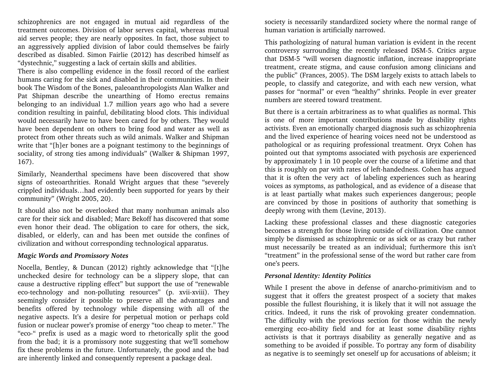schizophrenics are not engaged in mutual aid regardless of the treatment outcomes. Division of labor serves capital, whereas mutual aid serves people; they are nearly opposites. In fact, those subject to an aggressively applied division of labor could themselves be fairly described as disabled. Simon Fairlie (2012) has described himself as "dystechnic," suggesting a lack of certain skills and abilities.

There is also compelling evidence in the fossil record of the earliest humans caring for the sick and disabled in their communities. In their book The Wisdom of the Bones, paleoanthropologists Alan Walker and Pat Shipman describe the unearthing of Homo erectus remains belonging to an individual 1.7 million years ago who had a severe condition resulting in painful, debilitating blood clots. This individual would necessarily have to have been cared for by others. They would have been dependent on others to bring food and water as well as protect from other threats such as wild animals. Walker and Shipman write that "[h]er bones are a poignant testimony to the beginnings of sociality, of strong ties among individuals" (Walker & Shipman 1997, 167).

Similarly, Neanderthal specimens have been discovered that show signs of osteoarthrities. Ronald Wright argues that these "severely crippled individuals…had evidently been supported for years by their community" (Wright 2005, 20).

It should also not be overlooked that many nonhuman animals also care for their sick and disabled; Marc Bekoff has discovered that some even honor their dead. The obligation to care for others, the sick, disabled, or elderly, can and has been met outside the confines of civilization and without corresponding technological apparatus.

## *Magic Words and Promissory Notes*

Nocella, Bentley, & Duncan (2012) rightly acknowledge that "[t]he unchecked desire for technology can be a slippery slope, that can cause a destructive rippling effect" but support the use of "renewable eco-technology and non-polluting resources" (p. xvii-xviii). They seemingly consider it possible to preserve all the advantages and benefits offered by technology while dispensing with all of the negative aspects. It's a desire for perpetual motion or perhaps cold fusion or nuclear power's promise of energy "too cheap to meter." The "eco-" prefix is used as a magic word to rhetorically split the good from the bad; it is a promissory note suggesting that we'll somehow fix these problems in the future. Unfortunately, the good and the bad are inherently linked and consequently represent a package deal.

society is necessarily standardized society where the normal range of human variation is artificially narrowed.

This pathologizing of natural human variation is evident in the recent controversy surrounding the recently released DSM-5. Critics argue that DSM-5 "will worsen diagnostic inflation, increase inappropriate treatment, create stigma, and cause confusion among clinicians and the public" (Frances, 2005). The DSM largely exists to attach labels to people, to classify and categorize, and with each new version, what passes for "normal" or even "healthy" shrinks. People in ever greater numbers are steered toward treatment.

But there is a certain arbitrariness as to what qualifies as normal. This is one of more important contributions made by disability rights activists. Even an emotionally charged diagnosis such as schizophrenia and the lived experience of hearing voices need not be understood as pathological or as requiring professional treatment. Oryx Cohen has pointed out that symptoms associated with psychosis are experienced by approximately 1 in 10 people over the course of a lifetime and that this is roughly on par with rates of left-handedness. Cohen has argued that it is often the very act of labeling experiences such as hearing voices as symptoms, as pathological, and as evidence of a disease that is at least partially what makes such experiences dangerous; people are convinced by those in positions of authority that something is deeply wrong with them (Levine, 2013).

Lacking these professional classes and these diagnostic categories becomes a strength for those living outside of civilization. One cannot simply be dismissed as schizophrenic or as sick or as crazy but rather must necessarily be treated as an individual; furthermore this isn't "treatment" in the professional sense of the word but rather care from one's peers.

#### *Personal Identity: Identity Politics*

While I present the above in defense of anarcho-primitivism and to suggest that it offers the greatest prospect of a society that makes possible the fullest flourishing, it is likely that it will not assuage the critics. Indeed, it runs the risk of provoking greater condemnation. The difficulty with the previous section for those within the newly emerging eco-ability field and for at least some disability rights activists is that it portrays disability as generally negative and as something to be avoided if possible. To portray any form of disability as negative is to seemingly set oneself up for accusations of ableism; it